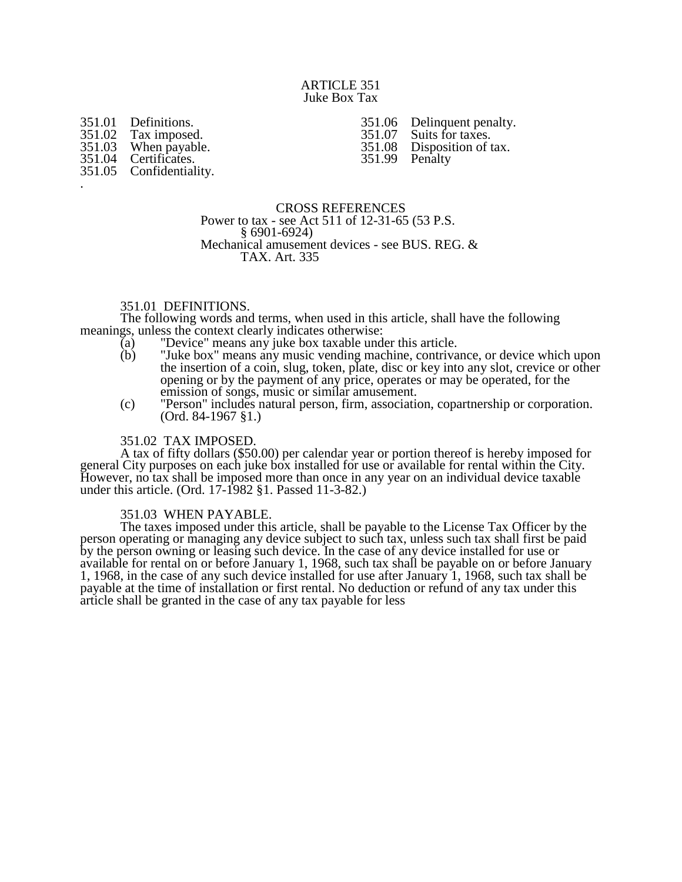## ARTICLE 351 Juke Box Tax

351.01 Definitions.<br>351.02 Tax imposed 351.02 Tax imposed.<br>351.03 When payable 351.03 When payable.<br>351.04 Certificates. Certificates. 351.05 Confidentiality. .

351.06 Delinquent penalty.<br>351.07 Suits for taxes. 351.07 Suits for taxes.<br>351.08 Disposition of t Disposition of tax. 351.99 Penalty

CROSS REFERENCES Power to tax - see Act 511 of 12-31-65 (53 P.S. § 6901-6924) Mechanical amusement devices - see BUS. REG. & TAX. Art. 335

## 351.01 DEFINITIONS.

The following words and terms, when used in this article, shall have the following meanings, unless the context clearly indicates otherwise:

- (a) "Device" means any juke box taxable under this article.
- "Juke box" means any music vending machine, contrivance, or device which upon the insertion of a coin, slug, token, plate, disc or key into any slot, crevice or other opening or by the payment of any price, operates or may be operated, for the emission of songs, music or similar amusement.
- (c) "Person" includes natural person, firm, association, copartnership or corporation. (Ord. 84-1967 §1.)

## 351.02 TAX IMPOSED.

A tax of fifty dollars (\$50.00) per calendar year or portion thereof is hereby imposed for general City purposes on each juke box installed for use or available for rental within the City. However, no tax shall be imposed more than once in any year on an individual device taxable under this article. (Ord. 17-1982 §1. Passed 11-3-82.)

## 351.03 WHEN PAYABLE.

The taxes imposed under this article, shall be payable to the License Tax Officer by the person operating or managing any device subject to such tax, unless such tax shall first be paid by the person owning or leasing such device. In the case of any device installed for use or available for rental on or before January 1, 1968, such tax shall be payable on or before January 1, 1968, in the case of any such device installed for use after January 1, 1968, such tax shall be payable at the time of installation or first rental. No deduction or refund of any tax under this article shall be granted in the case of any tax payable for less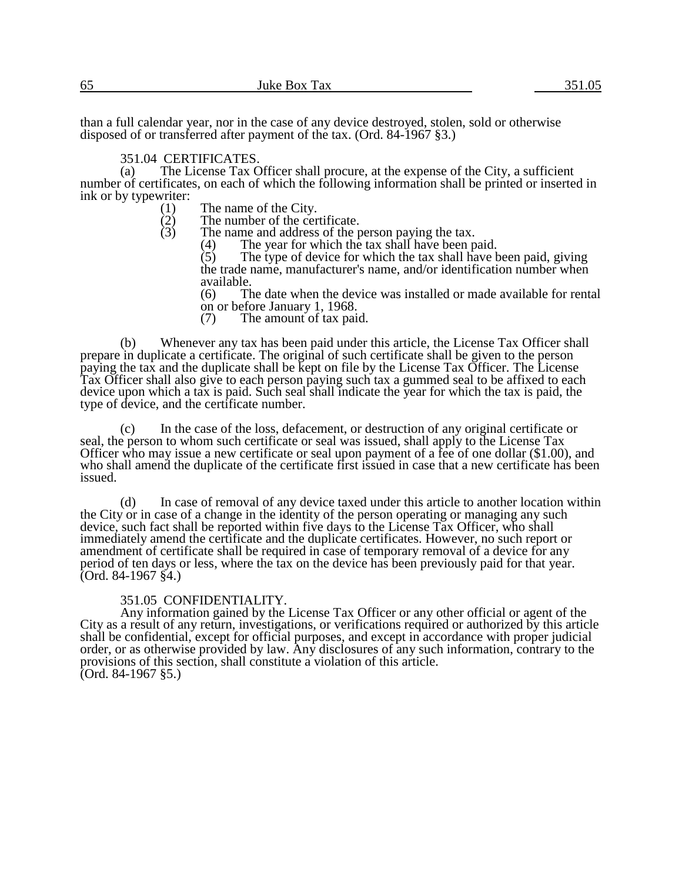than a full calendar year, nor in the case of any device destroyed, stolen, sold or otherwise disposed of or transferred after payment of the tax. (Ord. 84-1967 §3.)

# 351.04 CERTIFICATES.<br>(a) The License Tax C

The License Tax Officer shall procure, at the expense of the City, a sufficient number of certificates, on each of which the following information shall be printed or inserted in ink or by typewriter:

- (1) The name of the City.<br>(2) The number of the cer
- $(2)$  The number of the certificate.<br>(3) The name and address of the p
	- The name and address of the person paying the tax.<br>(4) The vear for which the tax shall have been p

(4) The year for which the tax shall have been paid.<br>(5) The type of device for which the tax shall have b

The type of device for which the tax shall have been paid, giving the trade name, manufacturer's name, and/or identification number when available.

(6) The date when the device was installed or made available for rental on or before January 1, 1968.<br>(7) The amount of tax pair

The amount of tax paid.

(b) Whenever any tax has been paid under this article, the License Tax Officer shall prepare in duplicate a certificate. The original of such certificate shall be given to the person paying the tax and the duplicate shall be kept on file by the License Tax Officer. The License Tax Officer shall also give to each person paying such tax a gummed seal to be affixed to each device upon which a tax is paid. Such seal shall indicate the year for which the tax is paid, the type of device, and the certificate number.

(c) In the case of the loss, defacement, or destruction of any original certificate or seal, the person to whom such certificate or seal was issued, shall apply to the License Tax Officer who may issue a new certificate or seal upon payment of a fee of one dollar (\$1.00), and who shall amend the duplicate of the certificate first issued in case that a new certificate has been issued.

(d) In case of removal of any device taxed under this article to another location within the City or in case of a change in the identity of the person operating or managing any such device, such fact shall be reported within five days to the License Tax Officer, who shall immediately amend the certificate and the duplicate certificates. However, no such report or amendment of certificate shall be required in case of temporary removal of a device for any period of ten days or less, where the tax on the device has been previously paid for that year. (Ord. 84-1967 §4.)

# 351.05 CONFIDENTIALITY.

Any information gained by the License Tax Officer or any other official or agent of the City as a result of any return, investigations, or verifications required or authorized by this article shall be confidential, except for official purposes, and except in accordance with proper judicial order, or as otherwise provided by law. Any disclosures of any such information, contrary to the provisions of this section, shall constitute a violation of this article. (Ord. 84-1967 §5.)